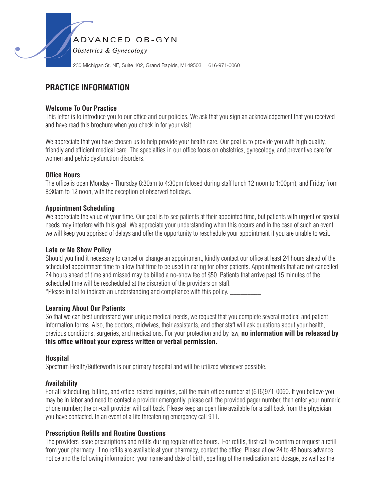

230 Michigan St. NE, Suite 102, Grand Rapids, MI 49503 616-971-0060

# **PRACTICE INFORMATION**

# **Welcome To Our Practice**

This letter is to introduce you to our office and our policies. We ask that you sign an acknowledgement that you received and have read this brochure when you check in for your visit.

We appreciate that you have chosen us to help provide your health care. Our goal is to provide you with high quality, friendly and efficient medical care. The specialties in our office focus on obstetrics, gynecology, and preventive care for women and pelvic dysfunction disorders.

## **Office Hours**

The office is open Monday - Thursday 8:30am to 4:30pm (closed during staff lunch 12 noon to 1:00pm), and Friday from 8:30am to 12 noon, with the exception of observed holidays.

## **Appointment Scheduling**

We appreciate the value of your time. Our goal is to see patients at their appointed time, but patients with urgent or special needs may interfere with this goal. We appreciate your understanding when this occurs and in the case of such an event we will keep you apprised of delays and offer the opportunity to reschedule your appointment if you are unable to wait.

## **Late or No Show Policy**

Should you find it necessary to cancel or change an appointment, kindly contact our office at least 24 hours ahead of the scheduled appointment time to allow that time to be used in caring for other patients. Appointments that are not cancelled 24 hours ahead of time and missed may be billed a no-show fee of \$50. Patients that arrive past 15 minutes of the scheduled time will be rescheduled at the discretion of the providers on staff. \*Please initial to indicate an understanding and compliance with this policy. \_\_\_\_\_\_\_\_\_

#### **Learning About Our Patients**

So that we can best understand your unique medical needs, we request that you complete several medical and patient information forms. Also, the doctors, midwives, their assistants, and other staff will ask questions about your health, previous conditions, surgeries, and medications. For your protection and by law, **no information will be released by this office without your express written or verbal permission.**

#### **Hospital**

Spectrum Health/Butterworth is our primary hospital and will be utilized whenever possible.

#### **Availability**

For all scheduling, billing, and office-related inquiries, call the main office number at (616)971-0060. If you believe you may be in labor and need to contact a provider emergently, please call the provided pager number, then enter your numeric phone number; the on-call provider will call back. Please keep an open line available for a call back from the physician you have contacted. In an event of a life threatening emergency call 911.

#### **Prescription Refills and Routine Questions**

The providers issue prescriptions and refills during regular office hours. For refills, first call to confirm or request a refill from your pharmacy; if no refills are available at your pharmacy, contact the office. Please allow 24 to 48 hours advance notice and the following information: your name and date of birth, spelling of the medication and dosage, as well as the